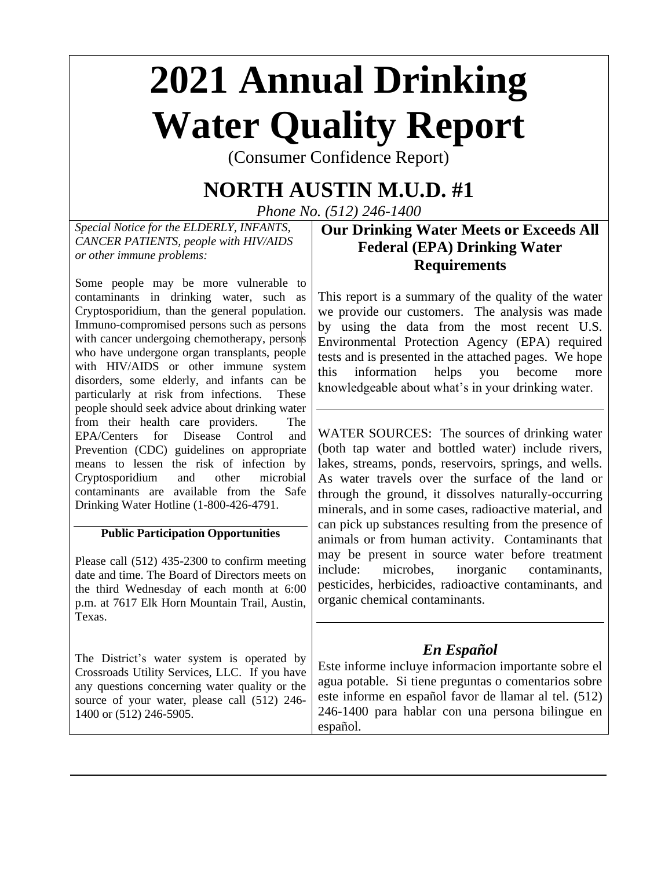# **2021 Annual Drinking Water Quality Report**

(Consumer Confidence Report)

## **NORTH AUSTIN M.U.D. #1**

*Phone No. (512) 246-1400*

*Special Notice for the ELDERLY, INFANTS, CANCER PATIENTS, people with HIV/AIDS or other immune problems:*

Some people may be more vulnerable to contaminants in drinking water, such as Cryptosporidium, than the general population. Immuno-compromised persons such as persons with cancer undergoing chemotherapy, persons who have undergone organ transplants, people with HIV/AIDS or other immune system disorders, some elderly, and infants can be particularly at risk from infections. These people should seek advice about drinking water from their health care providers. The EPA/Centers for Disease Control and Prevention (CDC) guidelines on appropriate means to lessen the risk of infection by Cryptosporidium and other microbial contaminants are available from the Safe Drinking Water Hotline (1-800-426-4791.

## **Public Participation Opportunities**

Please call (512) 435-2300 to confirm meeting date and time. The Board of Directors meets on the third Wednesday of each month at 6:00 p.m. at 7617 Elk Horn Mountain Trail, Austin, Texas.

The District's water system is operated by Crossroads Utility Services, LLC. If you have any questions concerning water quality or the source of your water, please call (512) 246- 1400 or (512) 246-5905.

## **Our Drinking Water Meets or Exceeds All Federal (EPA) Drinking Water Requirements**

This report is a summary of the quality of the water we provide our customers. The analysis was made by using the data from the most recent U.S. Environmental Protection Agency (EPA) required tests and is presented in the attached pages. We hope this information helps you become more knowledgeable about what's in your drinking water.

WATER SOURCES: The sources of drinking water (both tap water and bottled water) include rivers, lakes, streams, ponds, reservoirs, springs, and wells. As water travels over the surface of the land or through the ground, it dissolves naturally-occurring minerals, and in some cases, radioactive material, and can pick up substances resulting from the presence of animals or from human activity. Contaminants that may be present in source water before treatment include: microbes, inorganic contaminants, pesticides, herbicides, radioactive contaminants, and organic chemical contaminants.

## *En Español*

Este informe incluye informacion importante sobre el agua potable. Si tiene preguntas o comentarios sobre este informe en español favor de llamar al tel. (512) 246-1400 para hablar con una persona bilingue en español.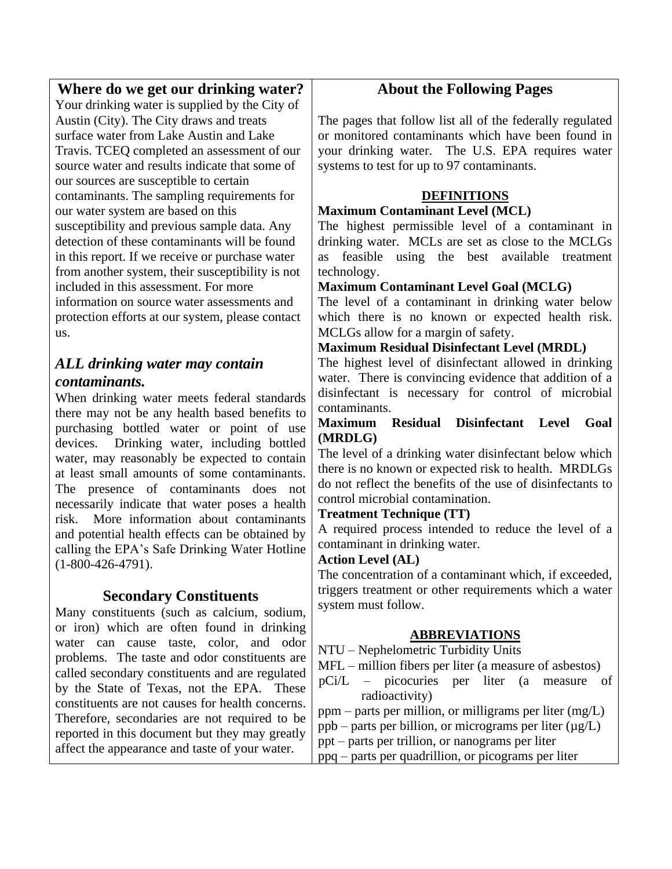## **Where do we get our drinking water?**

Your drinking water is supplied by the City of Austin (City). The City draws and treats surface water from Lake Austin and Lake Travis. TCEQ completed an assessment of our source water and results indicate that some of our sources are susceptible to certain contaminants. The sampling requirements for our water system are based on this susceptibility and previous sample data. Any detection of these contaminants will be found in this report. If we receive or purchase water from another system, their susceptibility is not included in this assessment. For more information on source water assessments and protection efforts at our system, please contact us.

## *ALL drinking water may contain contaminants.*

When drinking water meets federal standards there may not be any health based benefits to purchasing bottled water or point of use devices. Drinking water, including bottled water, may reasonably be expected to contain at least small amounts of some contaminants. The presence of contaminants does not necessarily indicate that water poses a health risk. More information about contaminants and potential health effects can be obtained by calling the EPA's Safe Drinking Water Hotline (1-800-426-4791).

## **Secondary Constituents**

Many constituents (such as calcium, sodium, or iron) which are often found in drinking water can cause taste, color, and odor problems. The taste and odor constituents are called secondary constituents and are regulated by the State of Texas, not the EPA. These constituents are not causes for health concerns. Therefore, secondaries are not required to be reported in this document but they may greatly affect the appearance and taste of your water.

## **About the Following Pages**

The pages that follow list all of the federally regulated or monitored contaminants which have been found in your drinking water. The U.S. EPA requires water systems to test for up to 97 contaminants.

## **DEFINITIONS**

#### **Maximum Contaminant Level (MCL)**

The highest permissible level of a contaminant in drinking water. MCLs are set as close to the MCLGs as feasible using the best available treatment technology.

## **Maximum Contaminant Level Goal (MCLG)**

The level of a contaminant in drinking water below which there is no known or expected health risk. MCLGs allow for a margin of safety.

## **Maximum Residual Disinfectant Level (MRDL)**

The highest level of disinfectant allowed in drinking water. There is convincing evidence that addition of a disinfectant is necessary for control of microbial contaminants.

#### **Maximum Residual Disinfectant Level Goal (MRDLG)**

The level of a drinking water disinfectant below which there is no known or expected risk to health. MRDLGs do not reflect the benefits of the use of disinfectants to control microbial contamination.

## **Treatment Technique (TT)**

A required process intended to reduce the level of a contaminant in drinking water.

## **Action Level (AL)**

The concentration of a contaminant which, if exceeded, triggers treatment or other requirements which a water system must follow.

## **ABBREVIATIONS**

NTU – Nephelometric Turbidity Units

- MFL million fibers per liter (a measure of asbestos)
- pCi/L picocuries per liter (a measure of radioactivity)

ppm – parts per million, or milligrams per liter (mg/L)

- ppb parts per billion, or micrograms per liter  $(\mu g/L)$
- ppt parts per trillion, or nanograms per liter
- ppq parts per quadrillion, or picograms per liter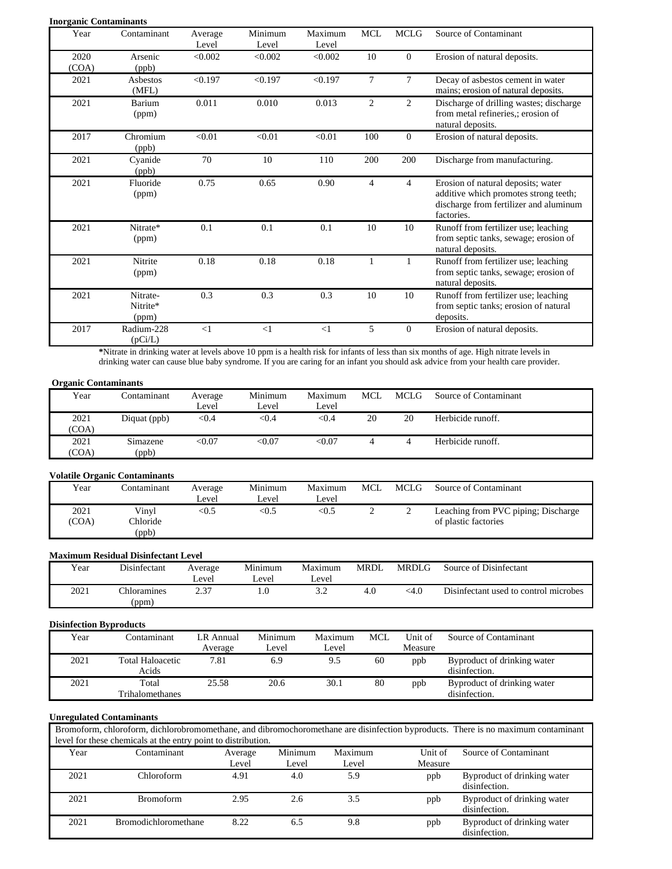|               | <b>Inorganic Contaminants</b> |                  |                  |                  |                |                |                                                                                                                                     |
|---------------|-------------------------------|------------------|------------------|------------------|----------------|----------------|-------------------------------------------------------------------------------------------------------------------------------------|
| Year          | Contaminant                   | Average<br>Level | Minimum<br>Level | Maximum<br>Level | <b>MCL</b>     | <b>MCLG</b>    | Source of Contaminant                                                                                                               |
| 2020<br>(COA) | Arsenic<br>(ppb)              | < 0.002          | < 0.002          | < 0.002          | 10             | $\overline{0}$ | Erosion of natural deposits.                                                                                                        |
| 2021          | Asbestos<br>(MFL)             | < 0.197          | < 0.197          | < 0.197          | $\tau$         | $\tau$         | Decay of asbestos cement in water<br>mains; erosion of natural deposits.                                                            |
| 2021          | Barium<br>(ppm)               | 0.011            | 0.010            | 0.013            | $\overline{2}$ | 2              | Discharge of drilling wastes; discharge<br>from metal refineries,; erosion of<br>natural deposits.                                  |
| 2017          | Chromium<br>(ppb)             | < 0.01           | < 0.01           | < 0.01           | 100            | $\overline{0}$ | Erosion of natural deposits.                                                                                                        |
| 2021          | Cyanide<br>(ppb)              | 70               | 10               | 110              | 200            | 200            | Discharge from manufacturing.                                                                                                       |
| 2021          | Fluoride<br>(ppm)             | 0.75             | 0.65             | 0.90             | $\overline{4}$ | $\overline{4}$ | Erosion of natural deposits; water<br>additive which promotes strong teeth;<br>discharge from fertilizer and aluminum<br>factories. |
| 2021          | Nitrate*<br>(ppm)             | 0.1              | 0.1              | 0.1              | 10             | 10             | Runoff from fertilizer use; leaching<br>from septic tanks, sewage; erosion of<br>natural deposits.                                  |
| 2021          | Nitrite<br>(ppm)              | 0.18             | 0.18             | 0.18             | 1              | 1              | Runoff from fertilizer use; leaching<br>from septic tanks, sewage; erosion of<br>natural deposits.                                  |
| 2021          | Nitrate-<br>Nitrite*<br>(ppm) | 0.3              | 0.3              | 0.3              | 10             | 10             | Runoff from fertilizer use; leaching<br>from septic tanks; erosion of natural<br>deposits.                                          |
| 2017          | Radium-228<br>(pCi/L)         | <1               | $\leq$ 1         | $\leq$ 1         | 5              | $\overline{0}$ | Erosion of natural deposits.                                                                                                        |

**\***Nitrate in drinking water at levels above 10 ppm is a health risk for infants of less than six months of age. High nitrate levels in drinking water can cause blue baby syndrome. If you are caring for an infant you should ask advice from your health care provider.

#### **Organic Contaminants**

| Year  | Contaminant  | Average<br>Level | Minimum<br>Level | Maximum<br>Level | MCL. | MCLG | Source of Contaminant |
|-------|--------------|------------------|------------------|------------------|------|------|-----------------------|
| 2021  | Diquat (ppb) | < 0.4            | $<$ 0.4          | < 0.4            | 20   | 20   | Herbicide runoff.     |
| (COA) |              |                  |                  |                  |      |      |                       |
| 2021  | Simazene     | $<$ 0.07         | < 0.07           | < 0.07           |      |      | Herbicide runoff.     |
| (COA) | (ppb)        |                  |                  |                  |      |      |                       |

#### **Volatile Organic Contaminants**

| Year          | Contaminant                       | Average<br>Level | Minimum<br>í .evel | Maximum<br>Level | MCL | MCLG | Source of Contaminant                                       |
|---------------|-----------------------------------|------------------|--------------------|------------------|-----|------|-------------------------------------------------------------|
| 2021<br>(COA) | Vinyl<br><b>Chloride</b><br>(ppb) | <0.5             | <0.5               | <0.5             | ∸   |      | Leaching from PVC piping; Discharge<br>of plastic factories |

#### **Maximum Residual Disinfectant Level**

| Year | Disinfectant         | Average<br>Level | Minimum<br>∟evel | Maximum<br>∟evel | <b>MRDL</b> | <b>MRDLG</b> | Source of Disinfectant                |
|------|----------------------|------------------|------------------|------------------|-------------|--------------|---------------------------------------|
| 2021 | Chloramines<br>(ppm) |                  |                  |                  | 4.0         | <4.0         | Disinfectant used to control microbes |

#### **Disinfection Byproducts**

| Year | Contaminant                      | LR Annual | Minimum | Maximum | MCL | Unit of | Source of Contaminant                        |
|------|----------------------------------|-----------|---------|---------|-----|---------|----------------------------------------------|
|      |                                  | Average   | ∟evel   | ∟evel   |     | Measure |                                              |
| 2021 | <b>Total Haloacetic</b><br>Acids | 7.81      | 6.9     | 9.5     | 60  | ppb     | Byproduct of drinking water<br>disinfection. |
| 2021 | Total                            | 25.58     | 20.6    | 30.1    | 80  | ppb     | Byproduct of drinking water                  |
|      | <b>Trihalomethanes</b>           |           |         |         |     |         | disinfection.                                |

#### **Unregulated Contaminants**

| Bromoform, chloroform, dichlorobromomethane, and dibromochoromethane are disinfection byproducts. There is no maximum contaminant |  |
|-----------------------------------------------------------------------------------------------------------------------------------|--|
| level for these chemicals at the entry point to distribution.                                                                     |  |

| Year | Contaminant                 | Average<br>Level | Minimum<br>Level | Maximum<br>Level | Unit of<br>Measure | Source of Contaminant                        |
|------|-----------------------------|------------------|------------------|------------------|--------------------|----------------------------------------------|
| 2021 | Chloroform                  | 4.91             | 4.0              | 5.9              | ppb                | Byproduct of drinking water<br>disinfection. |
| 2021 | <b>Bromoform</b>            | 2.95             | 2.6              | 3.5              | ppb                | Byproduct of drinking water<br>disinfection. |
| 2021 | <b>Bromodichloromethane</b> | 8.22             | 6.5              | 9.8              | ppb                | Byproduct of drinking water<br>disinfection. |